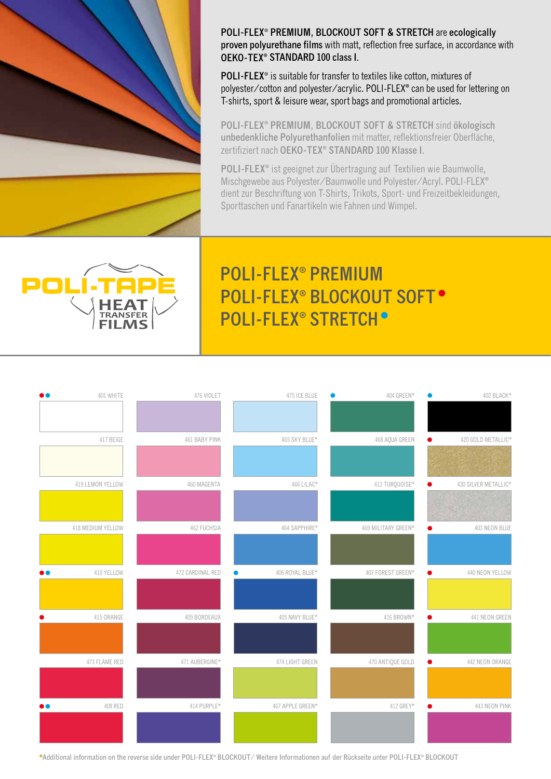

**POLI-FLEX**® **PREMIUM, BLOCKOUT SOFT & STRETCH** are **ecologically proven polyurethane films** with matt, reflection free surface, in accordance with **OEKO-TEX® STANDARD 100 class I**.

**POLI-FLEX**® is suitable for transfer to textiles like cotton, mixtures of polyester/cotton and polyester/acrylic. POLI-FLEX**®** can be used for lettering on T-shirts, sport & leisure wear, sport bags and promotional articles.

**POLI-FLEX® PREMIUM, BLOCKOUT SOFT & STRETCH** sind **ökologisch unbedenkliche Polyurethanfolien** mit matter, reflektionsfreier Oberfläche, zertifiziert nach **OEKO-TEX® STANDARD 100 Klasse I**.

**POLI-FLEX®** ist geeignet zur Übertragung auf Textilien wie Baumwolle, Mischgewebe aus Polyester/Baumwolle und Polyester/Acryl. POLI-FLEX**®** dient zur Beschriftung von T-Shirts, Trikots, Sport- und Freizeitbekleidungen, Sporttaschen und Fanartikeln wie Fahnen und Wimpel.



# **POLI-FLEX® PREMIUM POLI-FLEX® BLOCKOUT SOFT POLI-FLEX® STRETCH**



**\*Additional information on the reverse side under POLI-FLEX® BLOCKOUT/ Weitere Informationen auf der Rückseite unter POLI-FLEX® BLOCKOUT**